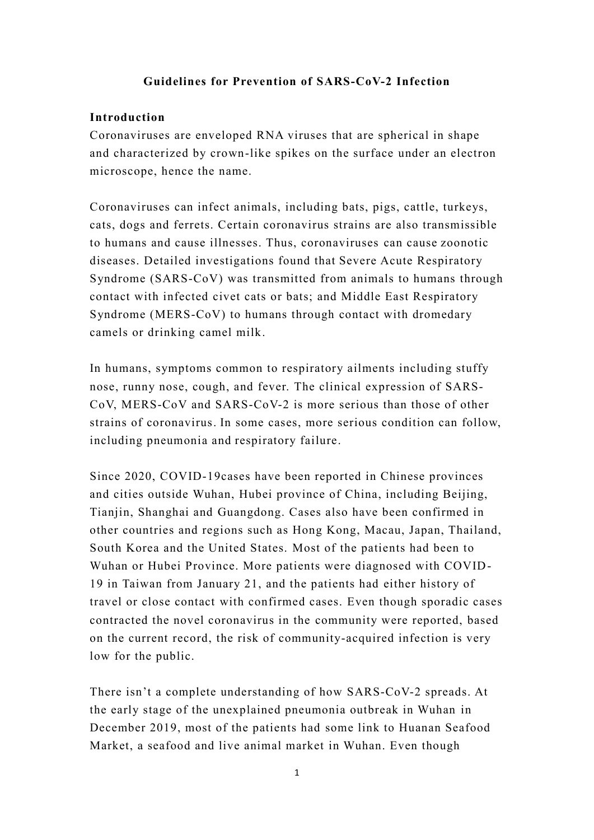# **Guidelines for Prevention of SARS-CoV-2 Infection**

### **Introduction**

Coronaviruses are enveloped RNA viruses that are spherical in shape and characterized by crown-like spikes on the surface under an electron microscope, hence the name.

Coronaviruses can infect animals, including bats, pigs, cattle, turkeys, cats, dogs and ferrets. Certain coronavirus strains are also transmissible to humans and cause illnesses. Thus, coronaviruses can cause zoonotic diseases. Detailed investigations found that Severe Acute Respiratory Syndrome (SARS-CoV) was transmitted from animals to humans through contact with infected civet cats or bats; and Middle East Respiratory Syndrome (MERS-CoV) to humans through contact with dromedary camels or drinking camel milk.

In humans, symptoms common to respiratory ailments including stuffy nose, runny nose, cough, and fever. The clinical expression of SARS-CoV, MERS-CoV and SARS-CoV-2 is more serious than those of other strains of coronavirus. In some cases, more serious condition can follow, including pneumonia and respiratory failure.

Since 2020, COVID-19cases have been reported in Chinese provinces and cities outside Wuhan, Hubei province of China, including Beijing, Tianjin, Shanghai and Guangdong. Cases also have been confirmed in other countries and regions such as Hong Kong, Macau, Japan, Thailand, South Korea and the United States. Most of the patients had been to Wuhan or Hubei Province. More patients were diagnosed with COVID-19 in Taiwan from January 21, and the patients had either history of travel or close contact with confirmed cases. Even though sporadic cases contracted the novel coronavirus in the community were reported, based on the current record, the risk of community-acquired infection is very low for the public.

There isn't a complete understanding of how SARS-CoV-2 spreads. At the early stage of the unexplained pneumonia outbreak in Wuhan in December 2019, most of the patients had some link to Huanan Seafood Market, a seafood and live animal market in Wuhan. Even though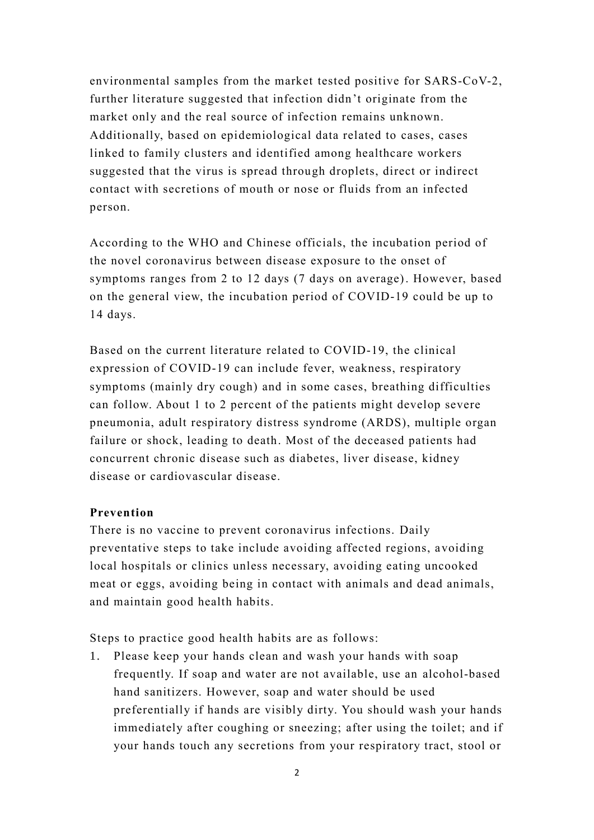environmental samples from the market tested positive for SARS-CoV-2, further literature suggested that infection didn't originate from the market only and the real source of infection remains unknown. Additionally, based on epidemiological data related to cases, cases linked to family clusters and identified among healthcare workers suggested that the virus is spread through droplets, direct or indirect contact with secretions of mouth or nose or fluids from an infected person.

According to the WHO and Chinese officials, the incubation period of the novel coronavirus between disease exposure to the onset of symptoms ranges from 2 to 12 days (7 days on average). However, based on the general view, the incubation period of COVID-19 could be up to 14 days.

Based on the current literature related to COVID-19, the clinical expression of COVID-19 can include fever, weakness, respiratory symptoms (mainly dry cough) and in some cases, breathing difficulties can follow. About 1 to 2 percent of the patients might develop severe pneumonia, adult respiratory distress syndrome (ARDS), multiple organ failure or shock, leading to death. Most of the deceased patients had concurrent chronic disease such as diabetes, liver disease, kidney disease or cardiovascular disease.

#### **Prevention**

There is no vaccine to prevent coronavirus infections. Daily preventative steps to take include avoiding affected regions, avoiding local hospitals or clinics unless necessary, avoiding eating uncooked meat or eggs, avoiding being in contact with animals and dead animals, and maintain good health habits.

Steps to practice good health habits are as follows:

1. Please keep your hands clean and wash your hands with soap frequently. If soap and water are not available, use an alcohol-based hand sanitizers. However, soap and water should be used preferentially if hands are visibly dirty. You should wash your hands immediately after coughing or sneezing; after using the toilet; and if your hands touch any secretions from your respiratory tract, stool or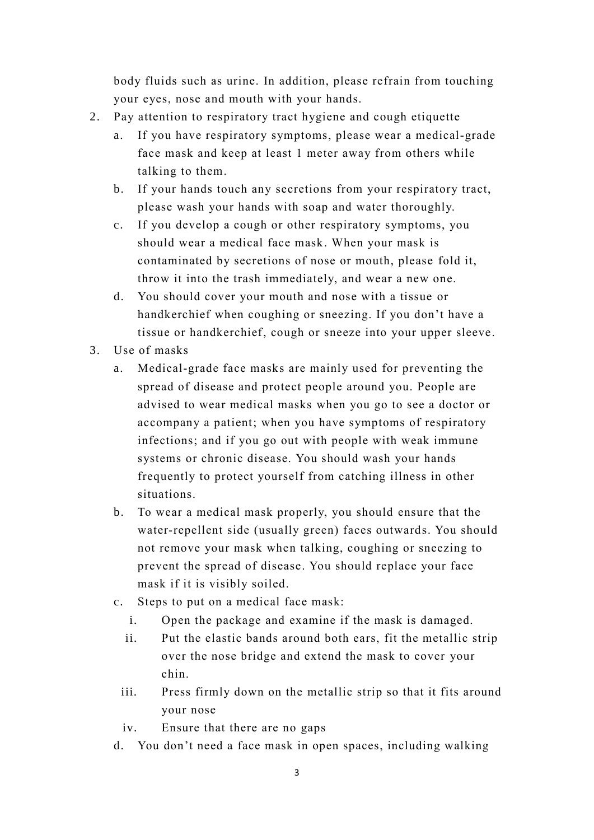body fluids such as urine. In addition, please refrain from touching your eyes, nose and mouth with your hands.

- 2. Pay attention to respiratory tract hygiene and cough etiquette
	- a. If you have respiratory symptoms, please wear a medical-grade face mask and keep at least 1 meter away from others while talking to them.
	- b. If your hands touch any secretions from your respiratory tract, please wash your hands with soap and water thoroughly.
	- c. If you develop a cough or other respiratory symptoms, you should wear a medical face mask. When your mask is contaminated by secretions of nose or mouth, please fold it, throw it into the trash immediately, and wear a new one.
	- d. You should cover your mouth and nose with a tissue or handkerchief when coughing or sneezing. If you don't have a tissue or handkerchief, cough or sneeze into your upper sleeve.
- 3. Use of masks
	- a. Medical-grade face masks are mainly used for preventing the spread of disease and protect people around you. People are advised to wear medical masks when you go to see a doctor or accompany a patient; when you have symptoms of respiratory infections; and if you go out with people with weak immune systems or chronic disease. You should wash your hands frequently to protect yourself from catching illness in other situations.
	- b. To wear a medical mask properly, you should ensure that the water-repellent side (usually green) faces outwards. You should not remove your mask when talking, coughing or sneezing to prevent the spread of disease. You should replace your face mask if it is visibly soiled.
	- c. Steps to put on a medical face mask:
		- i. Open the package and examine if the mask is damaged.
		- ii. Put the elastic bands around both ears, fit the metallic strip over the nose bridge and extend the mask to cover your chin.
		- iii. Press firmly down on the metallic strip so that it fits around your nose
		- iv. Ensure that there are no gaps
	- d. You don't need a face mask in open spaces, including walking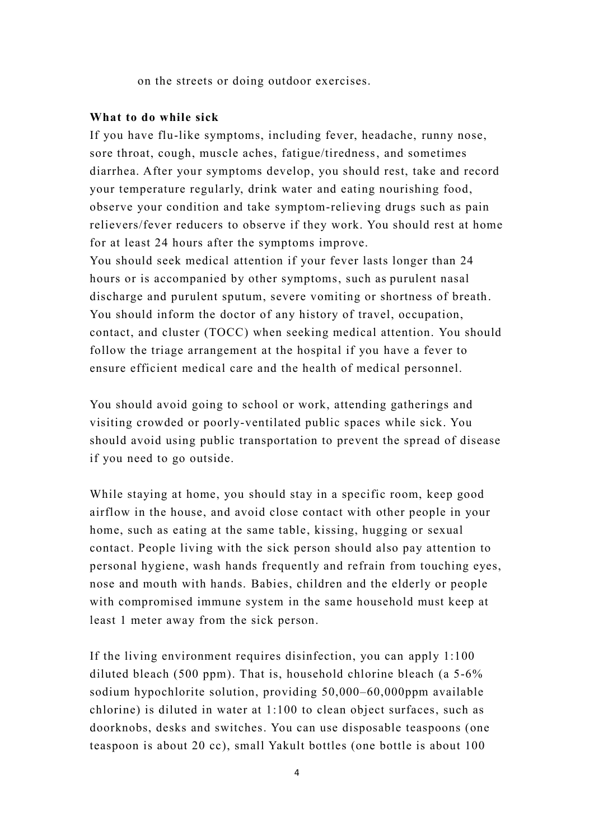on the streets or doing outdoor exercises.

### **What to do while sick**

If you have flu-like symptoms, including fever, headache, runny nose, sore throat, cough, muscle aches, fatigue/tiredness, and sometimes diarrhea. After your symptoms develop, you should rest, take and record your temperature regularly, drink water and eating nourishing food, observe your condition and take symptom-relieving drugs such as pain relievers/fever reducers to observe if they work. You should rest at home for at least 24 hours after the symptoms improve.

You should seek medical attention if your fever lasts longer than 24 hours or is accompanied by other symptoms, such as purulent nasal discharge and purulent sputum, severe vomiting or shortness of breath. You should inform the doctor of any history of travel, occupation, contact, and cluster (TOCC) when seeking medical attention. You should follow the triage arrangement at the hospital if you have a fever to ensure efficient medical care and the health of medical personnel.

You should avoid going to school or work, attending gatherings and visiting crowded or poorly-ventilated public spaces while sick. You should avoid using public transportation to prevent the spread of disease if you need to go outside.

While staying at home, you should stay in a specific room, keep good airflow in the house, and avoid close contact with other people in your home, such as eating at the same table, kissing, hugging or sexual contact. People living with the sick person should also pay attention to personal hygiene, wash hands frequently and refrain from touching eyes, nose and mouth with hands. Babies, children and the elderly or people with compromised immune system in the same household must keep at least 1 meter away from the sick person.

If the living environment requires disinfection, you can apply 1:100 diluted bleach (500 ppm). That is, household chlorine bleach (a 5-6% sodium hypochlorite solution, providing 50,000–60,000ppm available chlorine) is diluted in water at 1:100 to clean object surfaces, such as doorknobs, desks and switches. You can use disposable teaspoons (one teaspoon is about 20 cc), small Yakult bottles (one bottle is about 100